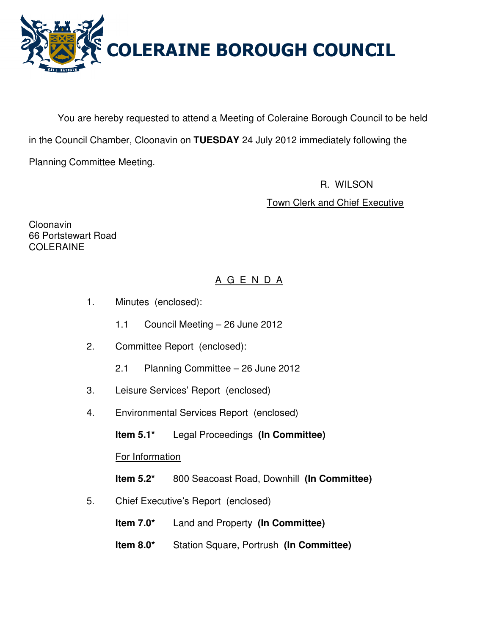

You are hereby requested to attend a Meeting of Coleraine Borough Council to be held in the Council Chamber, Cloonavin on **TUESDAY** 24 July 2012 immediately following the Planning Committee Meeting.

> R. WILSON Town Clerk and Chief Executive

Cloonavin 66 Portstewart Road COLERAINE

# A G E N D A

- 1. Minutes (enclosed):
	- 1.1 Council Meeting 26 June 2012
- 2. Committee Report (enclosed):
	- 2.1 Planning Committee 26 June 2012
- 3. Leisure Services' Report (enclosed)
- 4. Environmental Services Report (enclosed)

**Item 5.1\*** Legal Proceedings **(In Committee)** 

For Information

**Item 5.2\*** 800 Seacoast Road, Downhill **(In Committee)** 

- 5. Chief Executive's Report (enclosed)
	- **Item 7.0\*** Land and Property **(In Committee)**
	- **Item 8.0\*** Station Square, Portrush **(In Committee)**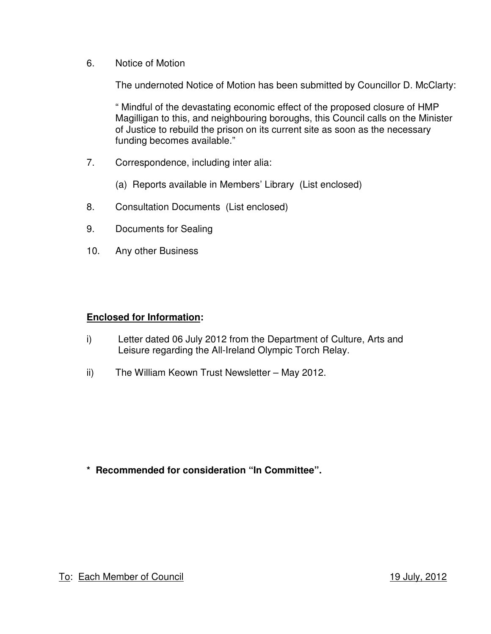6. Notice of Motion

The undernoted Notice of Motion has been submitted by Councillor D. McClarty:

" Mindful of the devastating economic effect of the proposed closure of HMP Magilligan to this, and neighbouring boroughs, this Council calls on the Minister of Justice to rebuild the prison on its current site as soon as the necessary funding becomes available."

- 7. Correspondence, including inter alia:
	- (a) Reports available in Members' Library (List enclosed)
- 8. Consultation Documents (List enclosed)
- 9. Documents for Sealing
- 10. Any other Business

## **Enclosed for Information:**

- i) Letter dated 06 July 2012 from the Department of Culture, Arts and Leisure regarding the All-Ireland Olympic Torch Relay.
- ii) The William Keown Trust Newsletter May 2012.

**\* Recommended for consideration "In Committee".**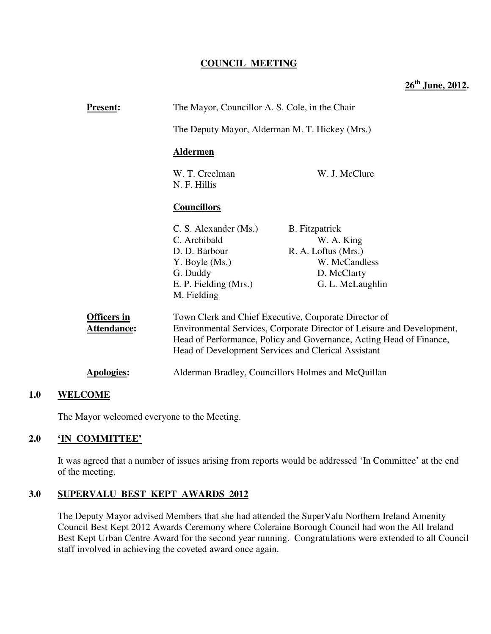## **COUNCIL MEETING**

**26th June, 2012.**

| <b>Present:</b>                   |                                                                                                                              | The Mayor, Councillor A. S. Cole, in the Chair                                                                                                                                                                                                                |  |
|-----------------------------------|------------------------------------------------------------------------------------------------------------------------------|---------------------------------------------------------------------------------------------------------------------------------------------------------------------------------------------------------------------------------------------------------------|--|
|                                   |                                                                                                                              | The Deputy Mayor, Alderman M. T. Hickey (Mrs.)                                                                                                                                                                                                                |  |
|                                   | <b>Aldermen</b>                                                                                                              |                                                                                                                                                                                                                                                               |  |
|                                   | W. T. Creelman<br>N. F. Hillis                                                                                               | W. J. McClure                                                                                                                                                                                                                                                 |  |
|                                   | <b>Councillors</b>                                                                                                           |                                                                                                                                                                                                                                                               |  |
|                                   | C. S. Alexander (Ms.)<br>C. Archibald<br>D. D. Barbour<br>Y. Boyle (Ms.)<br>G. Duddy<br>E. P. Fielding (Mrs.)<br>M. Fielding | <b>B.</b> Fitzpatrick<br>W. A. King<br>R. A. Loftus (Mrs.)<br>W. McCandless<br>D. McClarty<br>G. L. McLaughlin                                                                                                                                                |  |
| <b>Officers in</b><br>Attendance: |                                                                                                                              | Town Clerk and Chief Executive, Corporate Director of<br>Environmental Services, Corporate Director of Leisure and Development,<br>Head of Performance, Policy and Governance, Acting Head of Finance,<br>Head of Development Services and Clerical Assistant |  |
| Apologies:                        |                                                                                                                              | Alderman Bradley, Councillors Holmes and McQuillan                                                                                                                                                                                                            |  |
| 1 A<br>WEI <i>с</i> оме           |                                                                                                                              |                                                                                                                                                                                                                                                               |  |

## **1.0 WELCOME**

The Mayor welcomed everyone to the Meeting.

## **2.0 'IN COMMITTEE'**

It was agreed that a number of issues arising from reports would be addressed 'In Committee' at the end of the meeting.

## **3.0 SUPERVALU BEST KEPT AWARDS 2012**

The Deputy Mayor advised Members that she had attended the SuperValu Northern Ireland Amenity Council Best Kept 2012 Awards Ceremony where Coleraine Borough Council had won the All Ireland Best Kept Urban Centre Award for the second year running. Congratulations were extended to all Council staff involved in achieving the coveted award once again.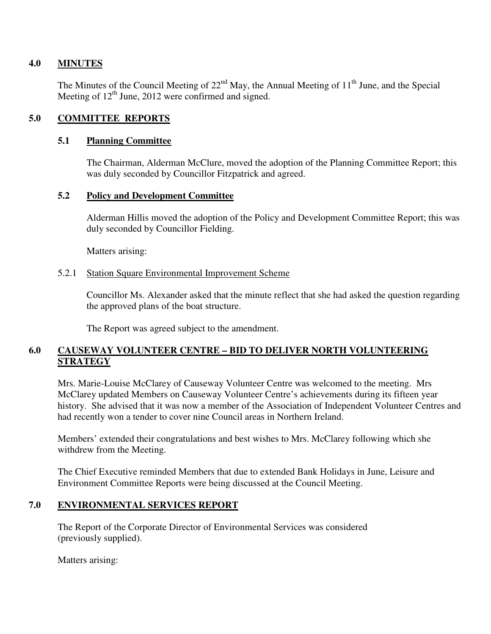## **4.0 MINUTES**

The Minutes of the Council Meeting of  $22<sup>nd</sup>$  May, the Annual Meeting of  $11<sup>th</sup>$  June, and the Special Meeting of  $12<sup>th</sup>$  June, 2012 were confirmed and signed.

## **5.0 COMMITTEE REPORTS**

### **5.1 Planning Committee**

The Chairman, Alderman McClure, moved the adoption of the Planning Committee Report; this was duly seconded by Councillor Fitzpatrick and agreed.

## **5.2 Policy and Development Committee**

Alderman Hillis moved the adoption of the Policy and Development Committee Report; this was duly seconded by Councillor Fielding.

Matters arising:

### 5.2.1 Station Square Environmental Improvement Scheme

Councillor Ms. Alexander asked that the minute reflect that she had asked the question regarding the approved plans of the boat structure.

The Report was agreed subject to the amendment.

## **6.0 CAUSEWAY VOLUNTEER CENTRE – BID TO DELIVER NORTH VOLUNTEERING STRATEGY**

Mrs. Marie-Louise McClarey of Causeway Volunteer Centre was welcomed to the meeting. Mrs McClarey updated Members on Causeway Volunteer Centre's achievements during its fifteen year history. She advised that it was now a member of the Association of Independent Volunteer Centres and had recently won a tender to cover nine Council areas in Northern Ireland.

Members' extended their congratulations and best wishes to Mrs. McClarey following which she withdrew from the Meeting.

The Chief Executive reminded Members that due to extended Bank Holidays in June, Leisure and Environment Committee Reports were being discussed at the Council Meeting.

### **7.0 ENVIRONMENTAL SERVICES REPORT**

 The Report of the Corporate Director of Environmental Services was considered (previously supplied).

Matters arising: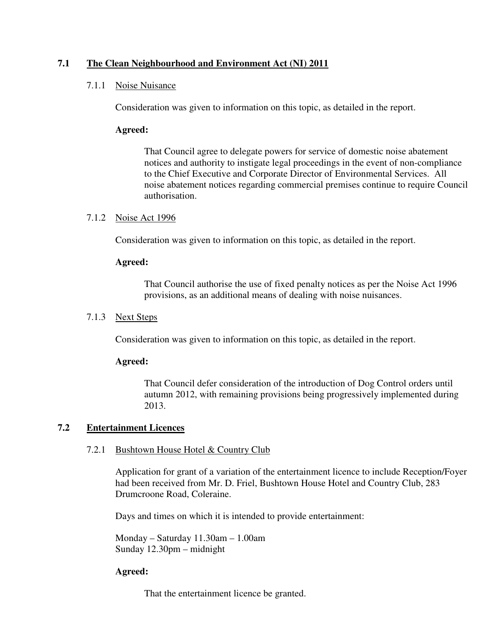## **7.1 The Clean Neighbourhood and Environment Act (NI) 2011**

### 7.1.1 Noise Nuisance

Consideration was given to information on this topic, as detailed in the report.

#### **Agreed:**

That Council agree to delegate powers for service of domestic noise abatement notices and authority to instigate legal proceedings in the event of non-compliance to the Chief Executive and Corporate Director of Environmental Services. All noise abatement notices regarding commercial premises continue to require Council authorisation.

#### 7.1.2 Noise Act 1996

Consideration was given to information on this topic, as detailed in the report.

#### **Agreed:**

That Council authorise the use of fixed penalty notices as per the Noise Act 1996 provisions, as an additional means of dealing with noise nuisances.

### 7.1.3 Next Steps

Consideration was given to information on this topic, as detailed in the report.

#### **Agreed:**

That Council defer consideration of the introduction of Dog Control orders until autumn 2012, with remaining provisions being progressively implemented during 2013.

### **7.2 Entertainment Licences**

#### 7.2.1 Bushtown House Hotel & Country Club

Application for grant of a variation of the entertainment licence to include Reception/Foyer had been received from Mr. D. Friel, Bushtown House Hotel and Country Club, 283 Drumcroone Road, Coleraine.

Days and times on which it is intended to provide entertainment:

Monday – Saturday 11.30am – 1.00am Sunday 12.30pm – midnight

### **Agreed:**

That the entertainment licence be granted.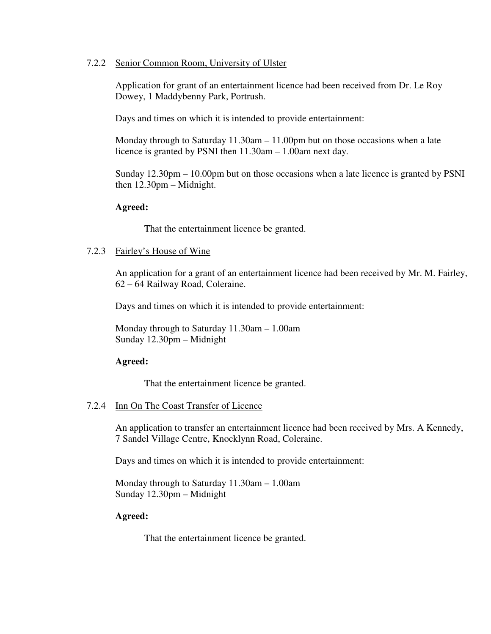#### 7.2.2 Senior Common Room, University of Ulster

Application for grant of an entertainment licence had been received from Dr. Le Roy Dowey, 1 Maddybenny Park, Portrush.

Days and times on which it is intended to provide entertainment:

Monday through to Saturday 11.30am – 11.00pm but on those occasions when a late licence is granted by PSNI then 11.30am – 1.00am next day.

Sunday 12.30pm – 10.00pm but on those occasions when a late licence is granted by PSNI then 12.30pm – Midnight.

#### **Agreed:**

That the entertainment licence be granted.

#### 7.2.3 Fairley's House of Wine

An application for a grant of an entertainment licence had been received by Mr. M. Fairley, 62 – 64 Railway Road, Coleraine.

Days and times on which it is intended to provide entertainment:

Monday through to Saturday 11.30am – 1.00am Sunday 12.30pm – Midnight

### **Agreed:**

That the entertainment licence be granted.

### 7.2.4 Inn On The Coast Transfer of Licence

An application to transfer an entertainment licence had been received by Mrs. A Kennedy, 7 Sandel Village Centre, Knocklynn Road, Coleraine.

Days and times on which it is intended to provide entertainment:

Monday through to Saturday 11.30am – 1.00am Sunday 12.30pm – Midnight

#### **Agreed:**

That the entertainment licence be granted.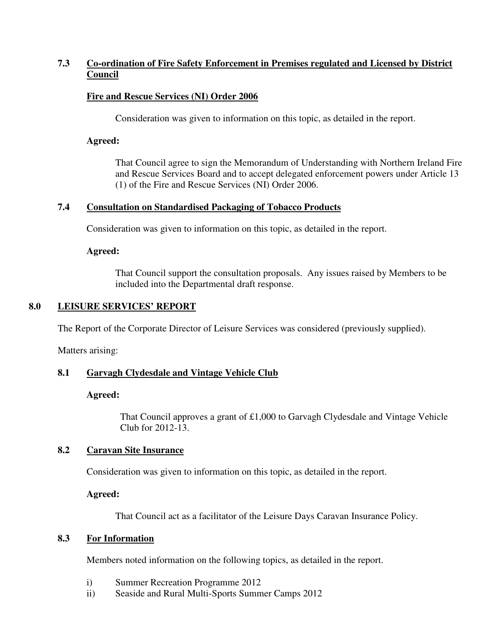## **7.3 Co-ordination of Fire Safety Enforcement in Premises regulated and Licensed by District Council**

## **Fire and Rescue Services (NI) Order 2006**

Consideration was given to information on this topic, as detailed in the report.

### **Agreed:**

That Council agree to sign the Memorandum of Understanding with Northern Ireland Fire and Rescue Services Board and to accept delegated enforcement powers under Article 13 (1) of the Fire and Rescue Services (NI) Order 2006.

### **7.4 Consultation on Standardised Packaging of Tobacco Products**

Consideration was given to information on this topic, as detailed in the report.

#### **Agreed:**

That Council support the consultation proposals. Any issues raised by Members to be included into the Departmental draft response.

## **8.0 LEISURE SERVICES' REPORT**

The Report of the Corporate Director of Leisure Services was considered (previously supplied).

Matters arising:

### **8.1 Garvagh Clydesdale and Vintage Vehicle Club**

### **Agreed:**

That Council approves a grant of £1,000 to Garvagh Clydesdale and Vintage Vehicle Club for 2012-13.

### **8.2 Caravan Site Insurance**

Consideration was given to information on this topic, as detailed in the report.

#### **Agreed:**

That Council act as a facilitator of the Leisure Days Caravan Insurance Policy.

### **8.3 For Information**

Members noted information on the following topics, as detailed in the report.

- i) Summer Recreation Programme 2012
- ii) Seaside and Rural Multi-Sports Summer Camps 2012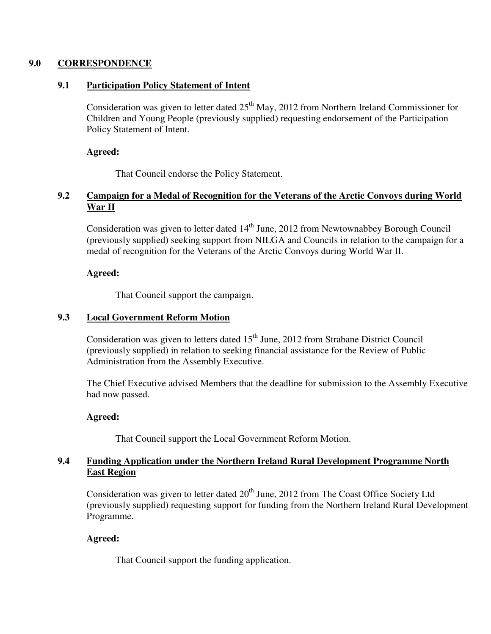## **9.0 CORRESPONDENCE**

## **9.1 Participation Policy Statement of Intent**

Consideration was given to letter dated  $25<sup>th</sup>$  May, 2012 from Northern Ireland Commissioner for Children and Young People (previously supplied) requesting endorsement of the Participation Policy Statement of Intent.

### **Agreed:**

That Council endorse the Policy Statement.

## **9.2 Campaign for a Medal of Recognition for the Veterans of the Arctic Convoys during World War II**

Consideration was given to letter dated  $14<sup>th</sup>$  June, 2012 from Newtownabbey Borough Council (previously supplied) seeking support from NILGA and Councils in relation to the campaign for a medal of recognition for the Veterans of the Arctic Convoys during World War II.

## **Agreed:**

That Council support the campaign.

## **9.3 Local Government Reform Motion**

Consideration was given to letters dated  $15<sup>th</sup>$  June, 2012 from Strabane District Council (previously supplied) in relation to seeking financial assistance for the Review of Public Administration from the Assembly Executive.

The Chief Executive advised Members that the deadline for submission to the Assembly Executive had now passed.

### **Agreed:**

That Council support the Local Government Reform Motion.

## **9.4 Funding Application under the Northern Ireland Rural Development Programme North East Region**

Consideration was given to letter dated 20<sup>th</sup> June, 2012 from The Coast Office Society Ltd (previously supplied) requesting support for funding from the Northern Ireland Rural Development Programme.

## **Agreed:**

That Council support the funding application.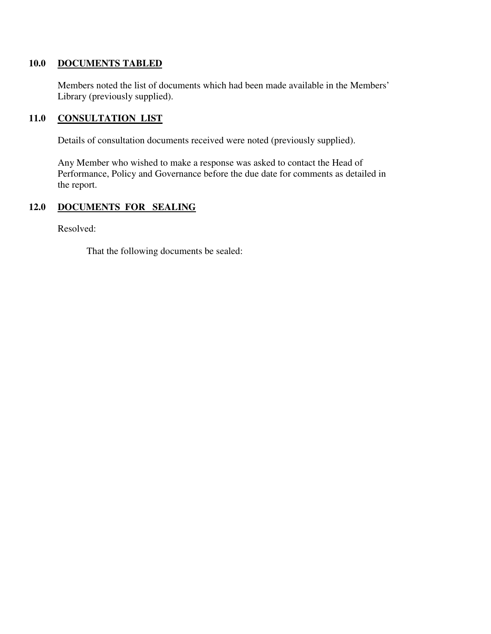### **10.0 DOCUMENTS TABLED**

 Members noted the list of documents which had been made available in the Members' Library (previously supplied).

## **11.0 CONSULTATION LIST**

Details of consultation documents received were noted (previously supplied).

 Any Member who wished to make a response was asked to contact the Head of Performance, Policy and Governance before the due date for comments as detailed in the report.

## **12.0 DOCUMENTS FOR SEALING**

Resolved:

That the following documents be sealed: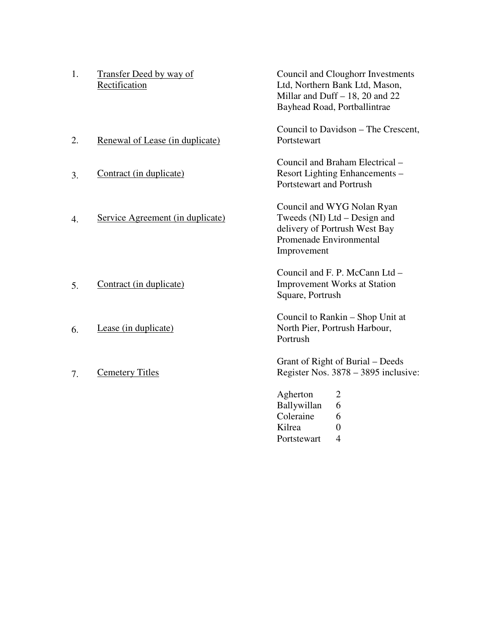| 1.               | <b>Transfer Deed by way of</b><br>Rectification | Council and Cloughorr Investments<br>Ltd, Northern Bank Ltd, Mason,<br>Millar and Duff $-18$ , 20 and 22<br>Bayhead Road, Portballintrae |
|------------------|-------------------------------------------------|------------------------------------------------------------------------------------------------------------------------------------------|
| 2.               | Renewal of Lease (in duplicate)                 | Council to Davidson – The Crescent,<br>Portstewart                                                                                       |
| 3.               | Contract (in duplicate)                         | Council and Braham Electrical -<br>Resort Lighting Enhancements -<br>Portstewart and Portrush                                            |
| $\overline{4}$ . | Service Agreement (in duplicate)                | Council and WYG Nolan Ryan<br>Tweeds (NI) Ltd – Design and<br>delivery of Portrush West Bay<br>Promenade Environmental<br>Improvement    |
| 5.               | Contract (in duplicate)                         | Council and F. P. McCann Ltd -<br><b>Improvement Works at Station</b><br>Square, Portrush                                                |
| 6.               | Lease (in duplicate)                            | Council to Rankin - Shop Unit at<br>North Pier, Portrush Harbour,<br>Portrush                                                            |
| 7.               | <b>Cemetery Titles</b>                          | Grant of Right of Burial – Deeds<br>Register Nos. 3878 – 3895 inclusive:                                                                 |
|                  |                                                 | Agherton<br>$\overline{2}$<br>Ballywillan<br>6<br>Coleraine<br>6<br>Kilrea<br>$\overline{0}$<br>$\overline{4}$<br>Portstewart            |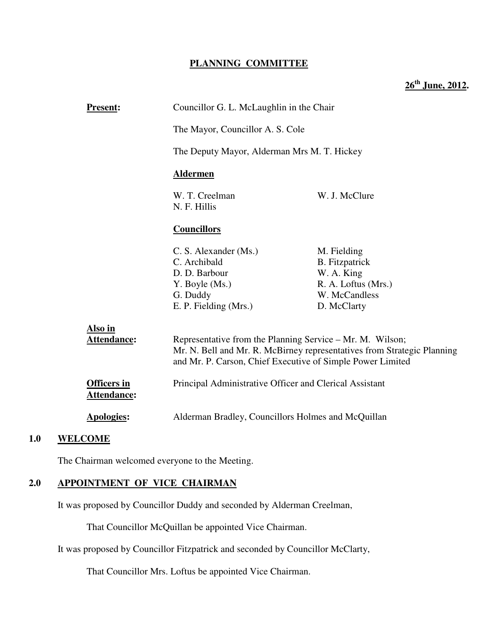## **PLANNING COMMITTEE**

**26th June, 2012.** 

| <b>Present:</b>                          | Councillor G. L. McLaughlin in the Chair<br>The Mayor, Councillor A. S. Cole<br>The Deputy Mayor, Alderman Mrs M. T. Hickey |                                                                         |
|------------------------------------------|-----------------------------------------------------------------------------------------------------------------------------|-------------------------------------------------------------------------|
|                                          |                                                                                                                             |                                                                         |
|                                          |                                                                                                                             |                                                                         |
|                                          | <b>Aldermen</b>                                                                                                             |                                                                         |
|                                          | W. T. Creelman<br>N. F. Hillis                                                                                              | W. J. McClure                                                           |
|                                          | <b>Councillors</b>                                                                                                          |                                                                         |
|                                          | C. S. Alexander (Ms.)<br>C. Archibald                                                                                       | M. Fielding<br><b>B.</b> Fitzpatrick                                    |
|                                          | D. D. Barbour                                                                                                               | W. A. King                                                              |
|                                          | Y. Boyle (Ms.)                                                                                                              | R. A. Loftus (Mrs.)                                                     |
|                                          | G. Duddy                                                                                                                    | W. McCandless                                                           |
|                                          | E. P. Fielding (Mrs.)                                                                                                       | D. McClarty                                                             |
| Also in                                  |                                                                                                                             |                                                                         |
| <b>Attendance:</b>                       | Representative from the Planning Service - Mr. M. Wilson;<br>and Mr. P. Carson, Chief Executive of Simple Power Limited     | Mr. N. Bell and Mr. R. McBirney representatives from Strategic Planning |
| <b>Officers in</b><br><b>Attendance:</b> | Principal Administrative Officer and Clerical Assistant                                                                     |                                                                         |
| <b>Apologies:</b>                        | Alderman Bradley, Councillors Holmes and McQuillan                                                                          |                                                                         |
| 1.0<br>WELCOME                           |                                                                                                                             |                                                                         |

The Chairman welcomed everyone to the Meeting.

### **2.0 APPOINTMENT OF VICE CHAIRMAN**

It was proposed by Councillor Duddy and seconded by Alderman Creelman,

That Councillor McQuillan be appointed Vice Chairman.

It was proposed by Councillor Fitzpatrick and seconded by Councillor McClarty,

That Councillor Mrs. Loftus be appointed Vice Chairman.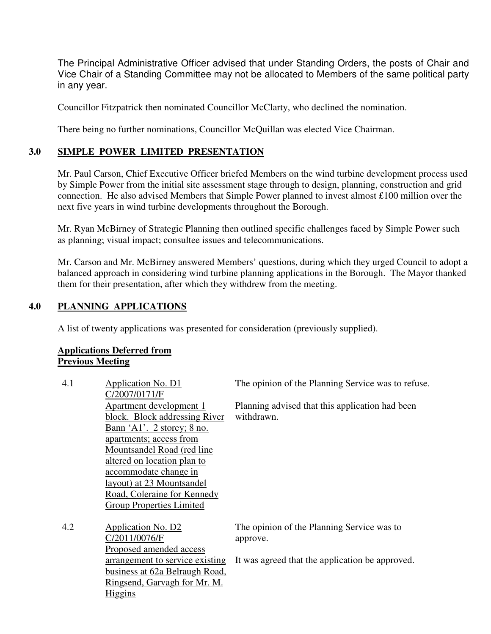The Principal Administrative Officer advised that under Standing Orders, the posts of Chair and Vice Chair of a Standing Committee may not be allocated to Members of the same political party in any year.

Councillor Fitzpatrick then nominated Councillor McClarty, who declined the nomination.

There being no further nominations, Councillor McQuillan was elected Vice Chairman.

## **3.0 SIMPLE POWER LIMITED PRESENTATION**

Mr. Paul Carson, Chief Executive Officer briefed Members on the wind turbine development process used by Simple Power from the initial site assessment stage through to design, planning, construction and grid connection. He also advised Members that Simple Power planned to invest almost £100 million over the next five years in wind turbine developments throughout the Borough.

Mr. Ryan McBirney of Strategic Planning then outlined specific challenges faced by Simple Power such as planning; visual impact; consultee issues and telecommunications.

Mr. Carson and Mr. McBirney answered Members' questions, during which they urged Council to adopt a balanced approach in considering wind turbine planning applications in the Borough. The Mayor thanked them for their presentation, after which they withdrew from the meeting.

## **4.0 PLANNING APPLICATIONS**

A list of twenty applications was presented for consideration (previously supplied).

## **Applications Deferred from Previous Meeting**

| 4.1 | Application No. D1<br>C/2007/0171/F                                                                                                                                       | The opinion of the Planning Service was to refuse.            |
|-----|---------------------------------------------------------------------------------------------------------------------------------------------------------------------------|---------------------------------------------------------------|
|     | <b>Apartment development 1</b><br>block. Block addressing River<br>Bann 'A1'. 2 storey; 8 no.                                                                             | Planning advised that this application had been<br>withdrawn. |
|     | apartments; access from<br>Mountsandel Road (red line<br>altered on location plan to<br>accommodate change in<br>layout) at 23 Mountsandel<br>Road, Coleraine for Kennedy |                                                               |
|     | <b>Group Properties Limited</b>                                                                                                                                           |                                                               |
| 4.2 | Application No. D2<br>C/2011/0076/F<br>Proposed amended access                                                                                                            | The opinion of the Planning Service was to<br>approve.        |
|     | arrangement to service existing<br>business at 62a Belraugh Road,<br>Ringsend, Garvagh for Mr. M.<br>Higgins                                                              | It was agreed that the application be approved.               |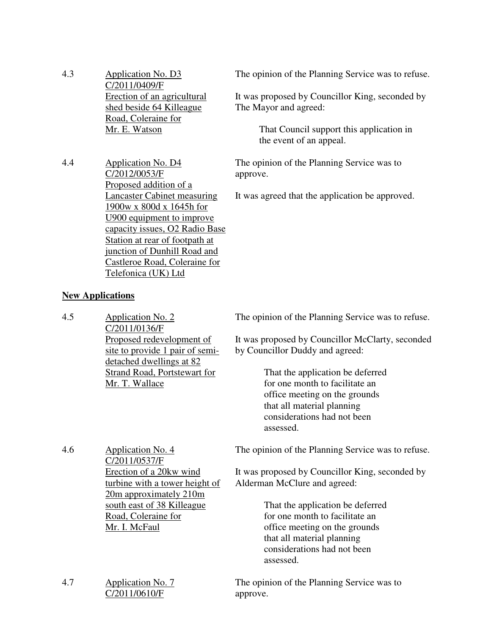4.3 Application No. D3 C/2011/0409/F Erection of an agricultural shed beside 64 Killeague Road, Coleraine for Mr. E. Watson

The opinion of the Planning Service was to refuse.

It was proposed by Councillor King, seconded by The Mayor and agreed:

> That Council support this application in the event of an appeal.

The opinion of the Planning Service was to approve.

It was agreed that the application be approved.

4.4 Application No. D4 C/2012/0053/F Proposed addition of a Lancaster Cabinet measuring 1900w x 800d x 1645h for U900 equipment to improve capacity issues, O2 Radio Base Station at rear of footpath at junction of Dunhill Road and Castleroe Road, Coleraine for Telefonica (UK) Ltd

## **New Applications**

| 4.5 | Application No. 2<br>C/2011/0136/F<br>Proposed redevelopment of<br>site to provide 1 pair of semi-<br>detached dwellings at 82<br><b>Strand Road, Portstewart for</b><br>Mr. T. Wallace                | The opinion of the Planning Service was to refuse.<br>It was proposed by Councillor McClarty, seconded<br>by Councillor Duddy and agreed:<br>That the application be deferred<br>for one month to facilitate an<br>office meeting on the grounds<br>that all material planning<br>considerations had not been<br>assessed. |
|-----|--------------------------------------------------------------------------------------------------------------------------------------------------------------------------------------------------------|----------------------------------------------------------------------------------------------------------------------------------------------------------------------------------------------------------------------------------------------------------------------------------------------------------------------------|
| 4.6 | <b>Application No. 4</b><br>C/2011/0537/F<br>Erection of a 20kw wind<br>turbine with a tower height of<br>20m approximately 210m<br>south east of 38 Killeague<br>Road, Coleraine for<br>Mr. I. McFaul | The opinion of the Planning Service was to refuse.<br>It was proposed by Councillor King, seconded by<br>Alderman McClure and agreed:<br>That the application be deferred<br>for one month to facilitate an<br>office meeting on the grounds<br>that all material planning<br>considerations had not been<br>assessed.     |
| 4.7 | Application No. 7<br>C/2011/0610/F                                                                                                                                                                     | The opinion of the Planning Service was to<br>approve.                                                                                                                                                                                                                                                                     |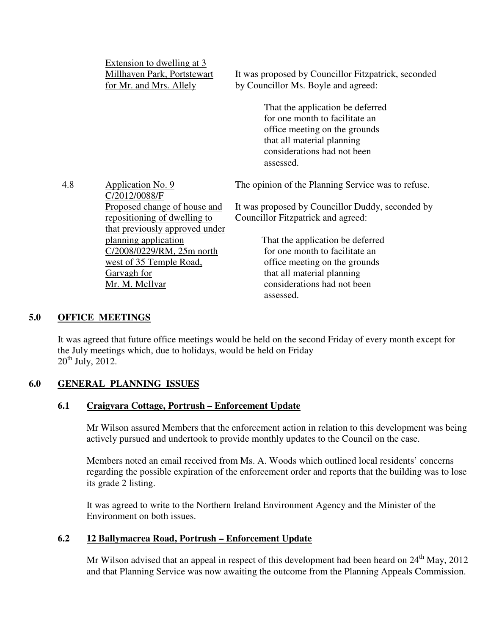|     | Extension to dwelling at 3<br>Millhaven Park, Portstewart<br>for Mr. and Mrs. Allely | It was proposed by Councillor Fitzpatrick, seconded<br>by Councillor Ms. Boyle and agreed:                                                                                    |
|-----|--------------------------------------------------------------------------------------|-------------------------------------------------------------------------------------------------------------------------------------------------------------------------------|
|     |                                                                                      | That the application be deferred<br>for one month to facilitate an<br>office meeting on the grounds<br>that all material planning<br>considerations had not been<br>assessed. |
| 4.8 | Application No. 9<br>C/2012/0088/F                                                   | The opinion of the Planning Service was to refuse.                                                                                                                            |
|     | Proposed change of house and                                                         | It was proposed by Councillor Duddy, seconded by                                                                                                                              |
|     | repositioning of dwelling to                                                         | Councillor Fitzpatrick and agreed:                                                                                                                                            |
|     | that previously approved under                                                       |                                                                                                                                                                               |
|     | planning application                                                                 | That the application be deferred                                                                                                                                              |
|     | C/2008/0229/RM, 25m north                                                            | for one month to facilitate an                                                                                                                                                |
|     | west of 35 Temple Road,                                                              | office meeting on the grounds                                                                                                                                                 |
|     | Garvagh for                                                                          | that all material planning                                                                                                                                                    |
|     | Mr. M. McIlvar                                                                       | considerations had not been                                                                                                                                                   |
|     |                                                                                      | assessed.                                                                                                                                                                     |

### **5.0 OFFICE MEETINGS**

It was agreed that future office meetings would be held on the second Friday of every month except for the July meetings which, due to holidays, would be held on Friday  $20^{th}$  July,  $2012$ .

## **6.0 GENERAL PLANNING ISSUES**

### **6.1 Craigvara Cottage, Portrush – Enforcement Update**

Mr Wilson assured Members that the enforcement action in relation to this development was being actively pursued and undertook to provide monthly updates to the Council on the case.

Members noted an email received from Ms. A. Woods which outlined local residents' concerns regarding the possible expiration of the enforcement order and reports that the building was to lose its grade 2 listing.

It was agreed to write to the Northern Ireland Environment Agency and the Minister of the Environment on both issues.

### **6.2 12 Ballymacrea Road, Portrush – Enforcement Update**

Mr Wilson advised that an appeal in respect of this development had been heard on 24<sup>th</sup> May, 2012 and that Planning Service was now awaiting the outcome from the Planning Appeals Commission.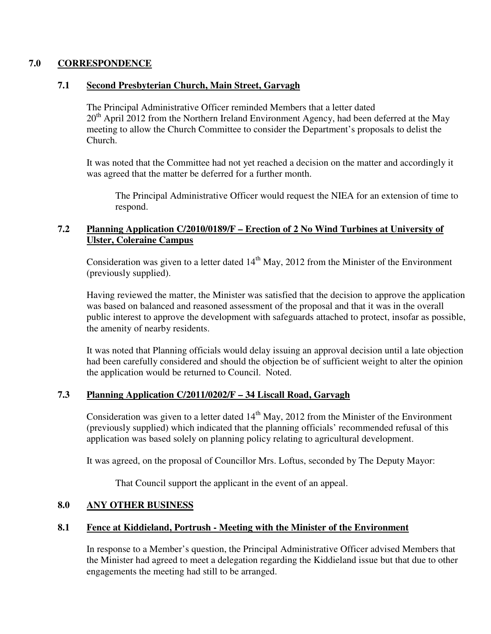## **7.0 CORRESPONDENCE**

## **7.1 Second Presbyterian Church, Main Street, Garvagh**

The Principal Administrative Officer reminded Members that a letter dated  $20<sup>th</sup>$  April 2012 from the Northern Ireland Environment Agency, had been deferred at the May meeting to allow the Church Committee to consider the Department's proposals to delist the Church.

It was noted that the Committee had not yet reached a decision on the matter and accordingly it was agreed that the matter be deferred for a further month.

The Principal Administrative Officer would request the NIEA for an extension of time to respond.

## **7.2 Planning Application C/2010/0189/F – Erection of 2 No Wind Turbines at University of Ulster, Coleraine Campus**

Consideration was given to a letter dated  $14<sup>th</sup>$  May, 2012 from the Minister of the Environment (previously supplied).

Having reviewed the matter, the Minister was satisfied that the decision to approve the application was based on balanced and reasoned assessment of the proposal and that it was in the overall public interest to approve the development with safeguards attached to protect, insofar as possible, the amenity of nearby residents.

It was noted that Planning officials would delay issuing an approval decision until a late objection had been carefully considered and should the objection be of sufficient weight to alter the opinion the application would be returned to Council. Noted.

## **7.3 Planning Application C/2011/0202/F – 34 Liscall Road, Garvagh**

Consideration was given to a letter dated  $14<sup>th</sup>$  May, 2012 from the Minister of the Environment (previously supplied) which indicated that the planning officials' recommended refusal of this application was based solely on planning policy relating to agricultural development.

It was agreed, on the proposal of Councillor Mrs. Loftus, seconded by The Deputy Mayor:

That Council support the applicant in the event of an appeal.

## **8.0 ANY OTHER BUSINESS**

## **8.1 Fence at Kiddieland, Portrush - Meeting with the Minister of the Environment**

In response to a Member's question, the Principal Administrative Officer advised Members that the Minister had agreed to meet a delegation regarding the Kiddieland issue but that due to other engagements the meeting had still to be arranged.